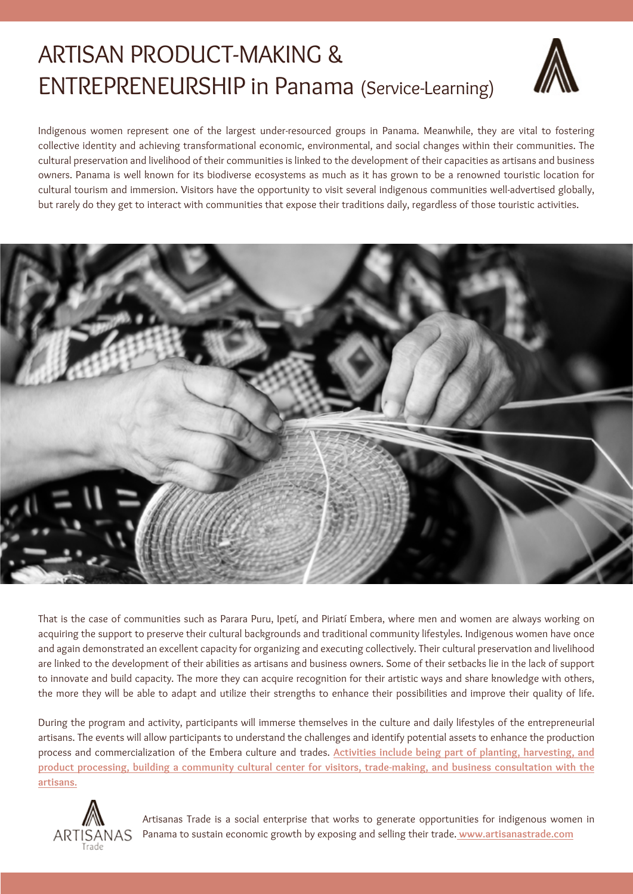# ARTISAN PRODUCT-MAKING & ENTREPRENEURSHIP in Panama (Service-Learning)



Indigenous women represent one of the largest under-resourced groups in Panama. Meanwhile, they are vital to fostering collective identity and achieving transformational economic, environmental, and social changes within their communities. The cultural preservation and livelihood of their communities is linked to the development of their capacities as artisans and business owners. Panama is well known for its biodiverse ecosystems as much as it has grown to be a renowned touristic location for cultural tourism and immersion. Visitors have the opportunity to visit several indigenous communities well-advertised globally, but rarely do they get to interact with communities that expose their traditions daily, regardless of those touristic activities.



That is the case of communities such as Parara Puru, Ipetí, and Piriatí Embera, where men and women are always working on acquiring the support to preserve their cultural backgrounds and traditional community lifestyles. Indigenous women have once and again demonstrated an excellent capacity for organizing and executing collectively. Their cultural preservation and livelihood are linked to the development of their abilities as artisans and business owners. Some of their setbacks lie in the lack of support to innovate and build capacity. The more they can acquire recognition for their artistic ways and share knowledge with others, the more they will be able to adapt and utilize their strengths to enhance their possibilities and improve their quality of life.

During the program and activity, participants will immerse themselves in the culture and daily lifestyles of the entrepreneurial artisans. The events will allow participants to understand the challenges and identify potential assets to enhance the production process and commercialization of the Embera culture and trades. **Activities include being part of planting, harvesting, and product processing, building a community cultural center for visitors, trade-making, and business consultation with the artisans.**



Artisanas Trade is a social enterprise that works to generate opportunities for indigenous women in Panama to sustain economic growth by exposing and selling their trade. **www.artisanastrade.com**